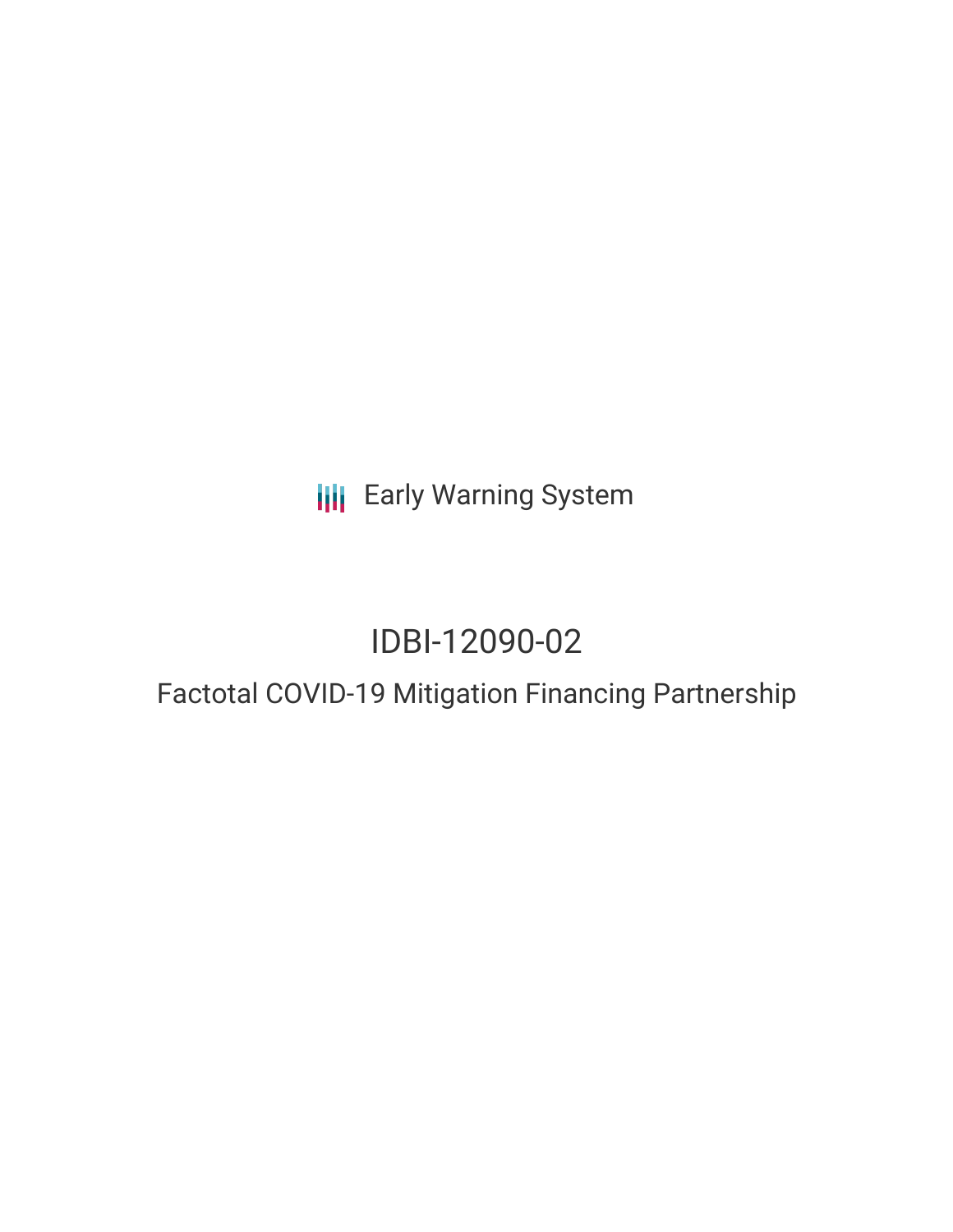**III** Early Warning System

# IDBI-12090-02

# Factotal COVID-19 Mitigation Financing Partnership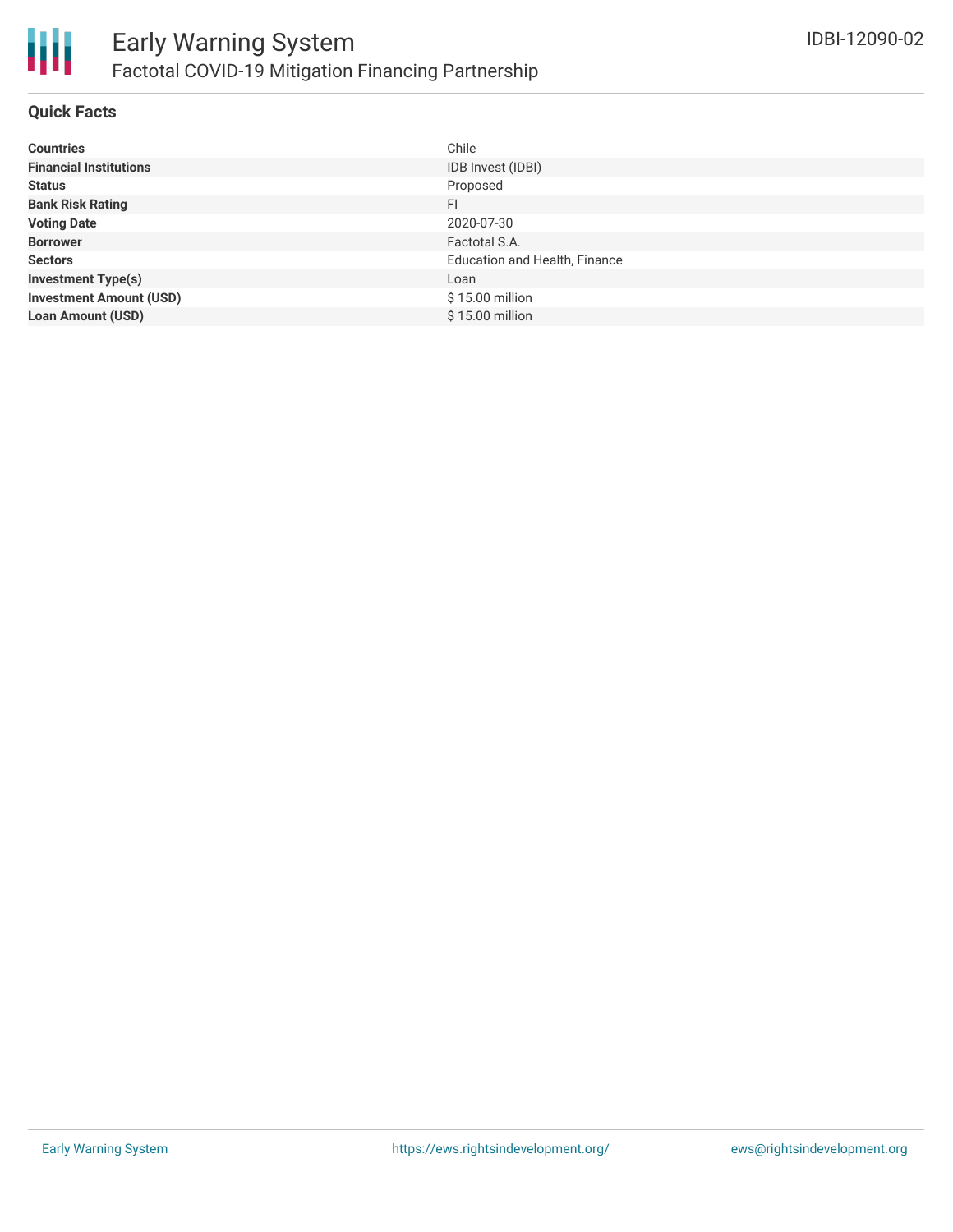

#### **Quick Facts**

| <b>Countries</b>               | Chile                                |
|--------------------------------|--------------------------------------|
| <b>Financial Institutions</b>  | IDB Invest (IDBI)                    |
| <b>Status</b>                  | Proposed                             |
| <b>Bank Risk Rating</b>        | FI                                   |
| <b>Voting Date</b>             | 2020-07-30                           |
| <b>Borrower</b>                | Factotal S.A.                        |
| <b>Sectors</b>                 | <b>Education and Health, Finance</b> |
| <b>Investment Type(s)</b>      | Loan                                 |
| <b>Investment Amount (USD)</b> | $$15.00$ million                     |
| <b>Loan Amount (USD)</b>       | \$15.00 million                      |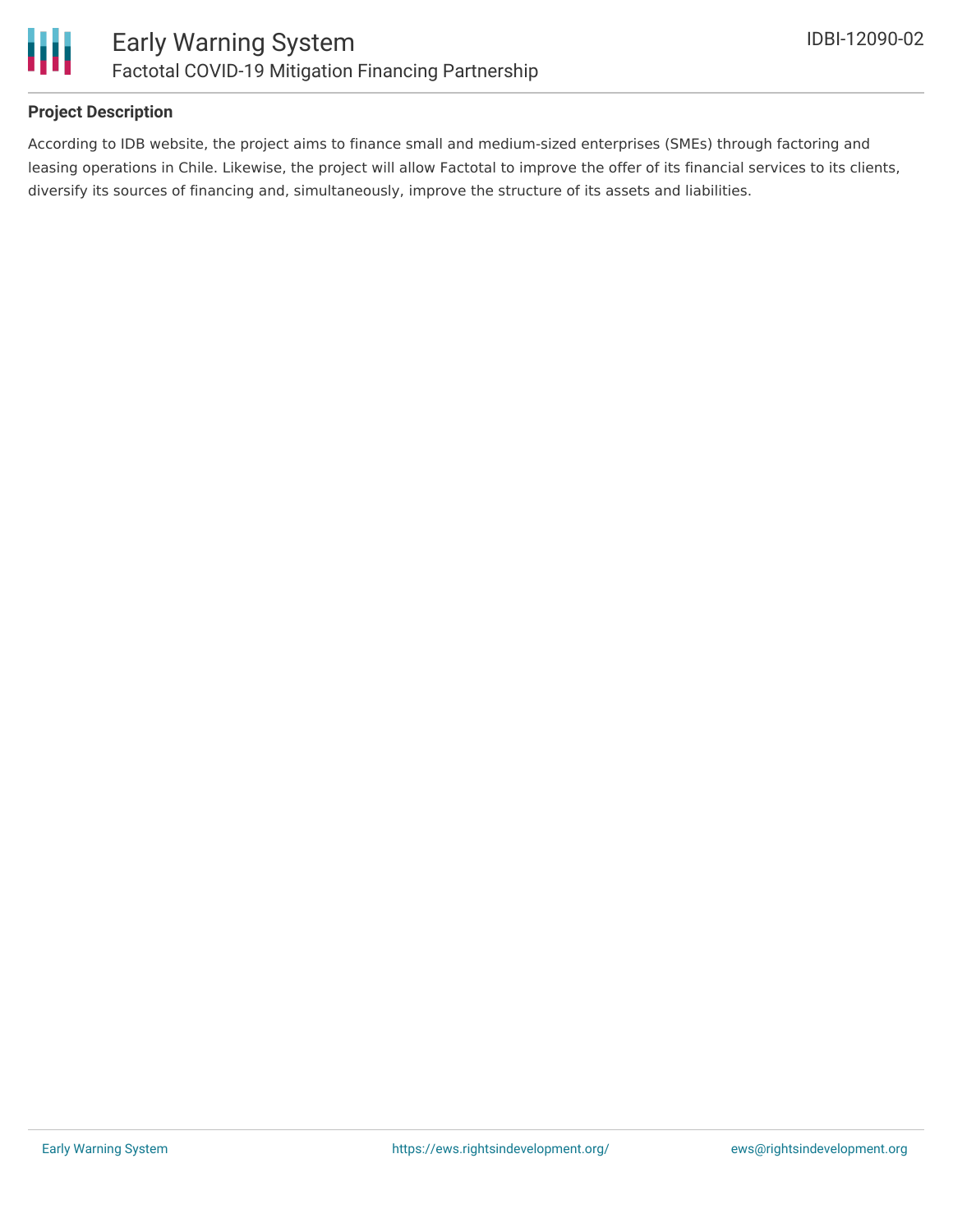

#### **Project Description**

According to IDB website, the project aims to finance small and medium-sized enterprises (SMEs) through factoring and leasing operations in Chile. Likewise, the project will allow Factotal to improve the offer of its financial services to its clients, diversify its sources of financing and, simultaneously, improve the structure of its assets and liabilities.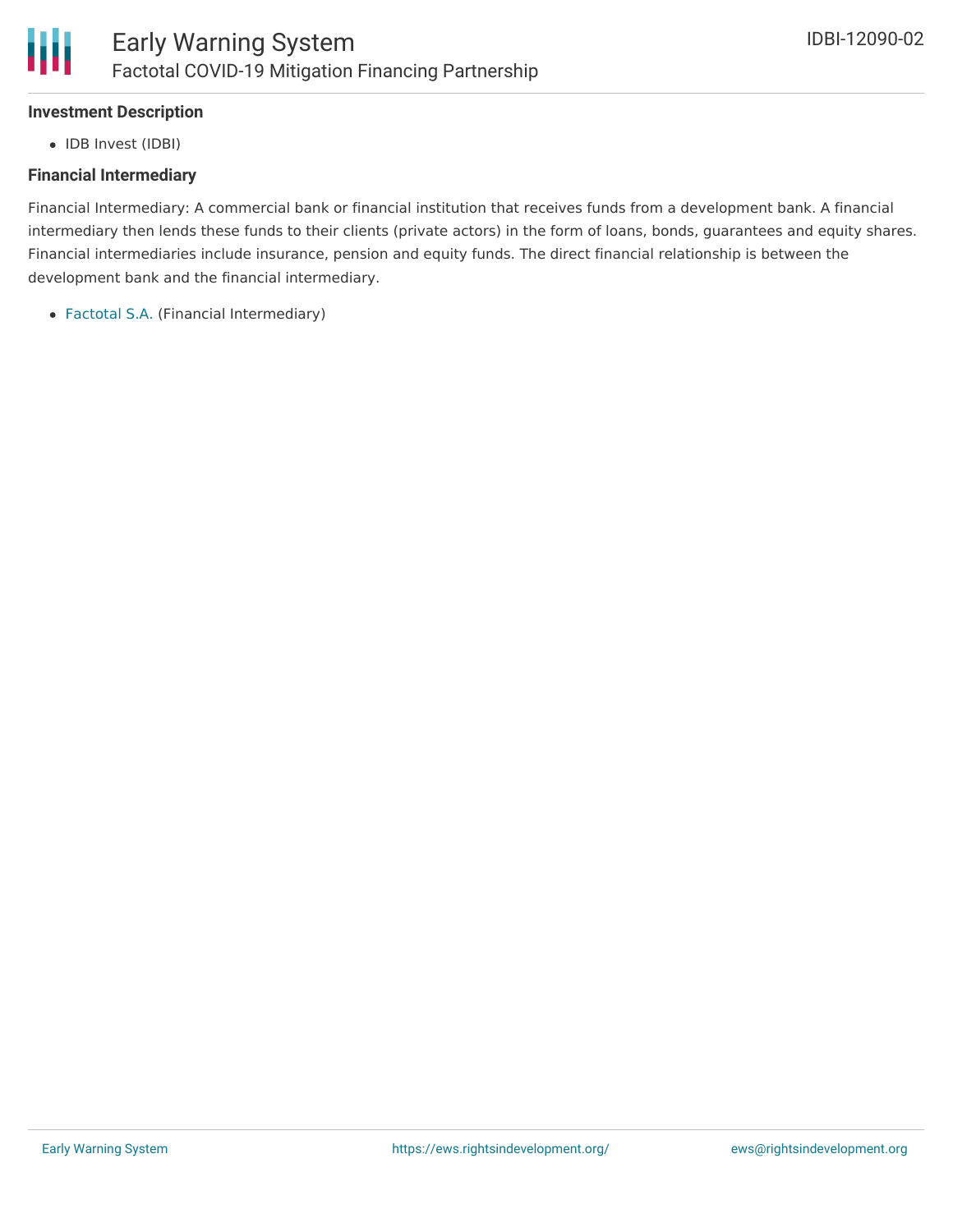# **Investment Description**

• IDB Invest (IDBI)

# **Financial Intermediary**

Financial Intermediary: A commercial bank or financial institution that receives funds from a development bank. A financial intermediary then lends these funds to their clients (private actors) in the form of loans, bonds, guarantees and equity shares. Financial intermediaries include insurance, pension and equity funds. The direct financial relationship is between the development bank and the financial intermediary.

[Factotal](file:///actor/1370/) S.A. (Financial Intermediary)